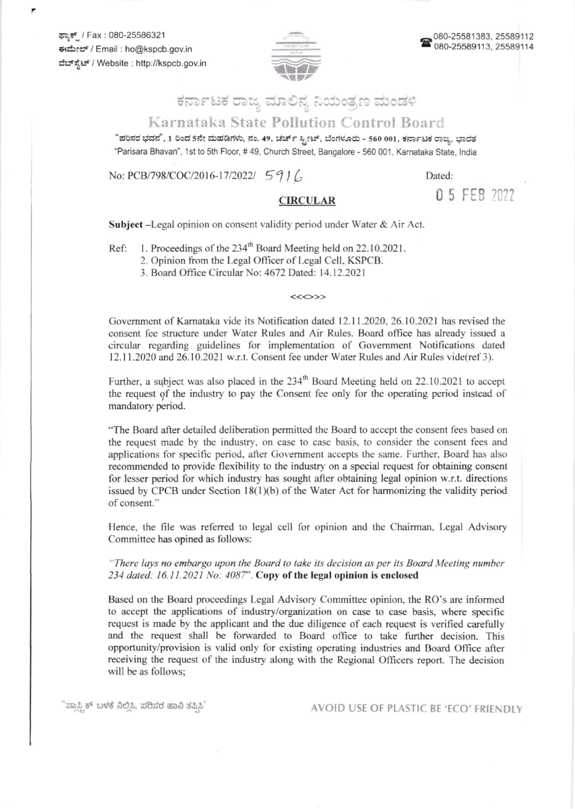ಫ್ಯಾಕ್ / Fax : 080-25586321 €r\$rcr. / Email : ho@kspcb.gov.in ವೆಬ್ ಸ್ಪೆಟ್ / Website : http://kspcb.gov.in



## ಕರ್ನಾಟಕ ರಾಜ್ಯ ಮಾಲಿನ್ಯ ನಿಯಂತ್ರಣ ಮಂಡಳಿ

## Karnataka State Pollution Control Board

"ಪರಿಸರ ಭವನ", 1 ರಿಂದ 5ನೇ ಮಹಡಿಗಳು, ನಂ. 49, ಚರ್ಚ್ ಸ್ಟೀಟ್, ಬೆಂಗಳೂರು - 560 001, ಕರ್ನಾಟಕ ರಾಜ್ಯ, ಭಾರತ "Parisara Bhavan", 1st to 5th Floor, # 49, Church Street, Bangalore - 560 001, Karnataka State, India

No: PCB/798/COC/2016-17/2022/  $5916$  Dated:

CIRCULAR 05 FEB 2022

Subject -Legal opinion on consent validity period under Water & Air Act.

Ref: 1. Proceedings of the 234<sup>th</sup> Board Meeting held on 22.10.2021.

2. Opinion from the Legal Officer of Legal Cell, KSPCB.

3. Board Office Circular No: 4672 Dated: 14.12.2021

<<<>>

Govemment of Kamataka vide its Notification dated l2.l 1.2020.26.10.2021 has revised the consent fee structure under Water Rules and Air Rules. Board office has already issued a circular rcgarding guidelines for implementation of Covemment Notifications dated 12.11.2020 and 26.10.2021w.r.t. Consent fee under Water Rules and Air Rules vide(ref 3).

Further, a subject was also placed in the 234<sup>th</sup> Board Meeting held on 22.10.2021 to accept the request of the industry to pay the Consent fee only for the operating period instead of mandatory period.

"The Board after detailed deliberation permitted the Board to accept the consent fees based on the request made by the industry. on case to case basis, to consider the consent fees and applications for specific period, after Govemmenl accepts the same. Further. Board has also recommended to provide flexibility to the industry on a special request for obtaining consent for lesser period for which industry has sought after obtaining legal opinion w.r.t. directions issued by CPCB under Section  $18(1)(b)$  of the Water Act for harmonizing the validity period of consent."

Hence, the file was referred to legal cell for opinion and the Chairman, Legal Advisory Committee has opined as follows:

"There lays no embargo upon the Board to take its decision as per its Board Meeting number 234 dated:  $16.11.2021$  No:  $4087$ ". Copy of the legal opinion is enclosed

Based on the Board proceedings Legal Advisory Committee opinion. the RO's are informed to accept the applications of industry/organization on case to case basis, where specific request is made by the applicant and the due diligence of each request is verified carefully and the request shall be forwarded to Board office to take further decision. This opportunity/provision is valid only for existing operating industries and Board Oflice after receiving the request of the industry along with the Regional Ollicers report. The decision will be as follows;

"ಪ್ಲಾಸ್ಟ್ರಿಕ್ ಬಳಕೆ ನಿಲ್ಲಿಸಿ, ಪರಿಸರ ಹಾನಿ ತಪ್ಪಿಸಿ"

AVOID USE OF PLASTIC BE 'ECO' FRIENDLY